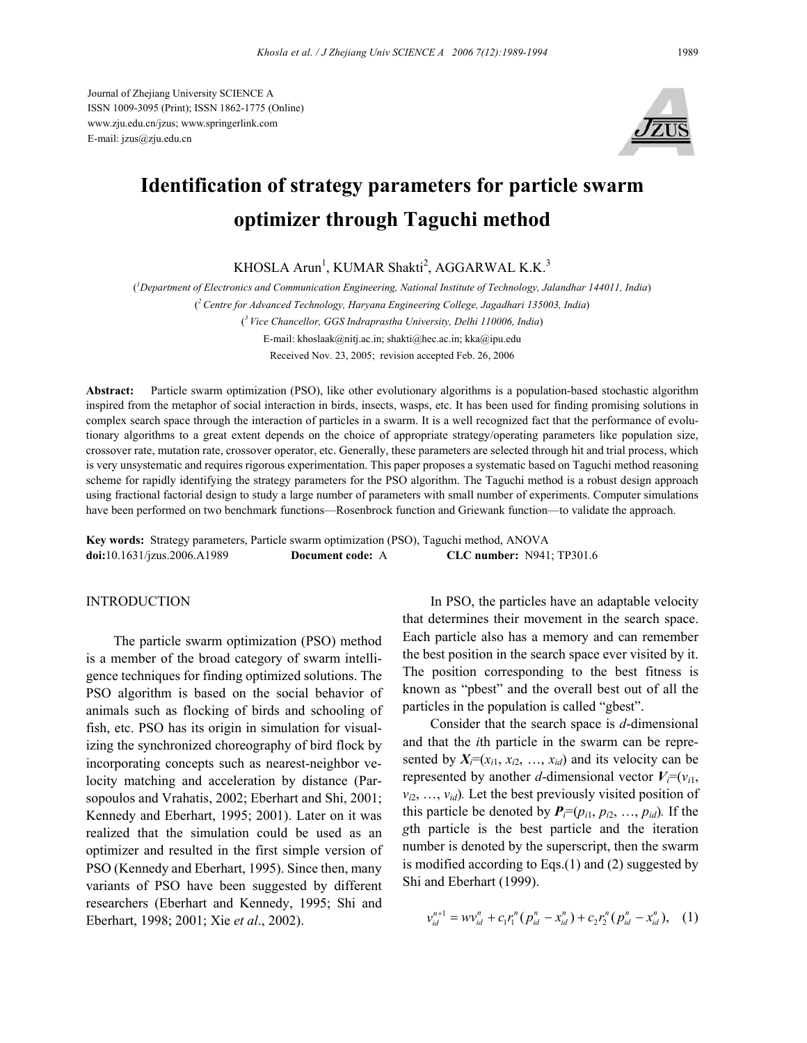Journal of Zhejiang University SCIENCE A ISSN 1009-3095 (Print); ISSN 1862-1775 (Online) www.zju.edu.cn/jzus; www.springerlink.com E-mail: jzus@zju.edu.cn



# **Identification of strategy parameters for particle swarm optimizer through Taguchi method**

KHOSLA Arun<sup>1</sup>, KUMAR Shakti<sup>2</sup>, AGGARWAL K.K.<sup>3</sup>

( *1 Department of Electronics and Communication Engineering, National Institute of Technology, Jalandhar 144011, India*) ( *2 Centre for Advanced Technology, Haryana Engineering College, Jagadhari 135003, India*) ( *3 Vice Chancellor, GGS Indraprastha University, Delhi 110006, India*) E-mail: khoslaak@nitj.ac.in; shakti@hec.ac.in; kka@ipu.edu Received Nov. 23, 2005; revision accepted Feb. 26, 2006

**Abstract:** Particle swarm optimization (PSO), like other evolutionary algorithms is a population-based stochastic algorithm inspired from the metaphor of social interaction in birds, insects, wasps, etc. It has been used for finding promising solutions in complex search space through the interaction of particles in a swarm. It is a well recognized fact that the performance of evolutionary algorithms to a great extent depends on the choice of appropriate strategy/operating parameters like population size, crossover rate, mutation rate, crossover operator, etc. Generally, these parameters are selected through hit and trial process, which is very unsystematic and requires rigorous experimentation. This paper proposes a systematic based on Taguchi method reasoning scheme for rapidly identifying the strategy parameters for the PSO algorithm. The Taguchi method is a robust design approach using fractional factorial design to study a large number of parameters with small number of experiments. Computer simulations have been performed on two benchmark functions—Rosenbrock function and Griewank function—to validate the approach.

**Key words:** Strategy parameters, Particle swarm optimization (PSO), Taguchi method, ANOVA **doi:**10.1631/jzus.2006.A1989 **Document code:** A **CLC number:** N941; TP301.6

# **INTRODUCTION**

The particle swarm optimization (PSO) method is a member of the broad category of swarm intelligence techniques for finding optimized solutions. The PSO algorithm is based on the social behavior of animals such as flocking of birds and schooling of fish, etc. PSO has its origin in simulation for visualizing the synchronized choreography of bird flock by incorporating concepts such as nearest-neighbor velocity matching and acceleration by distance (Parsopoulos and Vrahatis, 2002; Eberhart and Shi, 2001; Kennedy and Eberhart, 1995; 2001). Later on it was realized that the simulation could be used as an optimizer and resulted in the first simple version of PSO (Kennedy and Eberhart, 1995). Since then, many variants of PSO have been suggested by different researchers (Eberhart and Kennedy, 1995; Shi and Eberhart, 1998; 2001; Xie *et al*., 2002).

In PSO, the particles have an adaptable velocity that determines their movement in the search space. Each particle also has a memory and can remember the best position in the search space ever visited by it. The position corresponding to the best fitness is known as "pbest" and the overall best out of all the particles in the population is called "gbest".

Consider that the search space is *d*-dimensional and that the *i*th particle in the swarm can be represented by  $X_i = (x_{i1}, x_{i2}, \ldots, x_{id})$  and its velocity can be represented by another *d*-dimensional vector  $V_i = (v_i)$ ,  $v_{i2}, \ldots, v_{id}$ ). Let the best previously visited position of this particle be denoted by  $P_i=(p_{i1}, p_{i2}, \ldots, p_{id})$ . If the *g*th particle is the best particle and the iteration number is denoted by the superscript, then the swarm is modified according to Eqs.(1) and (2) suggested by Shi and Eberhart (1999).

$$
v_{id}^{n+1} = w v_{id}^n + c_1 r_1^n (p_{id}^n - x_{id}^n) + c_2 r_2^n (p_{id}^n - x_{id}^n), \quad (1)
$$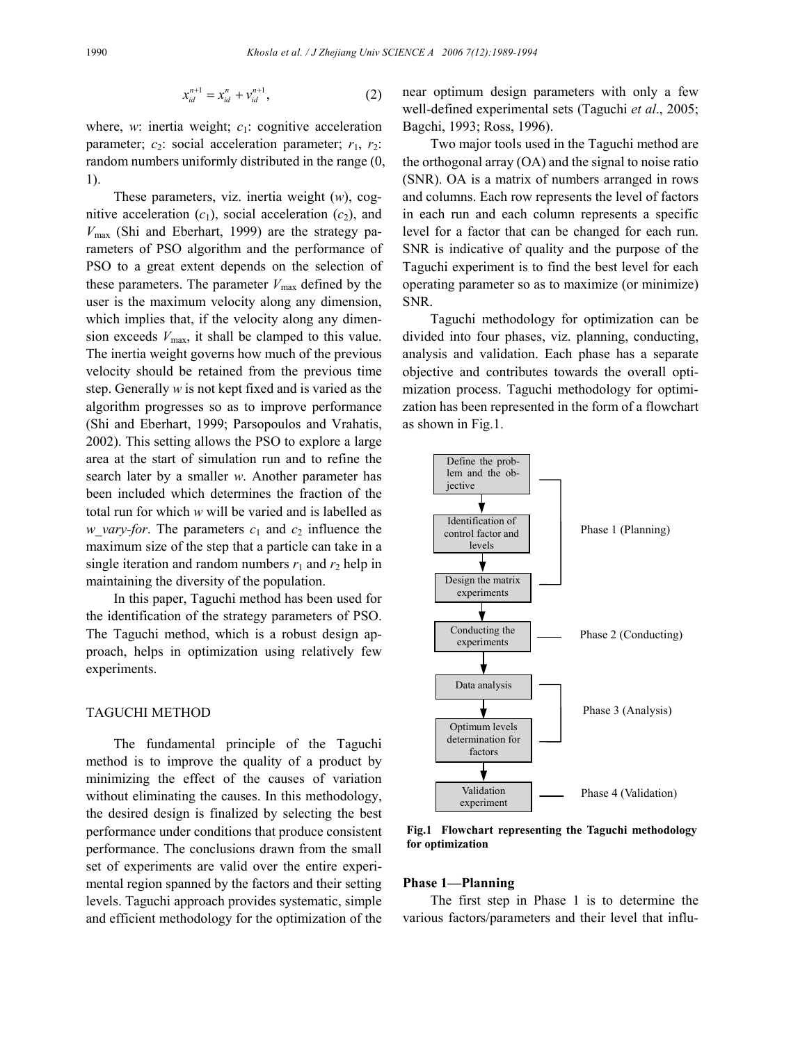$$
x_{id}^{n+1} = x_{id}^n + v_{id}^{n+1}, \tag{2}
$$

where, *w*: inertia weight; *c*<sub>1</sub>: cognitive acceleration parameter;  $c_2$ : social acceleration parameter;  $r_1$ ,  $r_2$ : random numbers uniformly distributed in the range (0, 1).

These parameters, viz. inertia weight (*w*), cognitive acceleration  $(c_1)$ , social acceleration  $(c_2)$ , and *V*max (Shi and Eberhart, 1999) are the strategy parameters of PSO algorithm and the performance of PSO to a great extent depends on the selection of these parameters. The parameter  $V_{\text{max}}$  defined by the user is the maximum velocity along any dimension, which implies that, if the velocity along any dimension exceeds  $V_{\text{max}}$ , it shall be clamped to this value. The inertia weight governs how much of the previous velocity should be retained from the previous time step. Generally *w* is not kept fixed and is varied as the algorithm progresses so as to improve performance (Shi and Eberhart, 1999; Parsopoulos and Vrahatis, 2002). This setting allows the PSO to explore a large area at the start of simulation run and to refine the search later by a smaller *w*. Another parameter has been included which determines the fraction of the total run for which *w* will be varied and is labelled as *w vary-for*. The parameters  $c_1$  and  $c_2$  influence the maximum size of the step that a particle can take in a single iteration and random numbers  $r_1$  and  $r_2$  help in maintaining the diversity of the population.

In this paper, Taguchi method has been used for the identification of the strategy parameters of PSO. The Taguchi method, which is a robust design approach, helps in optimization using relatively few experiments.

### TAGUCHI METHOD

The fundamental principle of the Taguchi method is to improve the quality of a product by minimizing the effect of the causes of variation without eliminating the causes. In this methodology, the desired design is finalized by selecting the best performance under conditions that produce consistent performance. The conclusions drawn from the small set of experiments are valid over the entire experimental region spanned by the factors and their setting levels. Taguchi approach provides systematic, simple and efficient methodology for the optimization of the

near optimum design parameters with only a few well-defined experimental sets (Taguchi *et al*., 2005; Bagchi, 1993; Ross, 1996).

Two major tools used in the Taguchi method are the orthogonal array (OA) and the signal to noise ratio (SNR). OA is a matrix of numbers arranged in rows and columns. Each row represents the level of factors in each run and each column represents a specific level for a factor that can be changed for each run. SNR is indicative of quality and the purpose of the Taguchi experiment is to find the best level for each operating parameter so as to maximize (or minimize) SNR.

Taguchi methodology for optimization can be divided into four phases, viz. planning, conducting, analysis and validation. Each phase has a separate objective and contributes towards the overall optimization process. Taguchi methodology for optimization has been represented in the form of a flowchart as shown in Fig.1.



**Fig.1 Flowchart representing the Taguchi methodology for optimization** 

#### **Phase 1—Planning**

The first step in Phase 1 is to determine the various factors/parameters and their level that influ-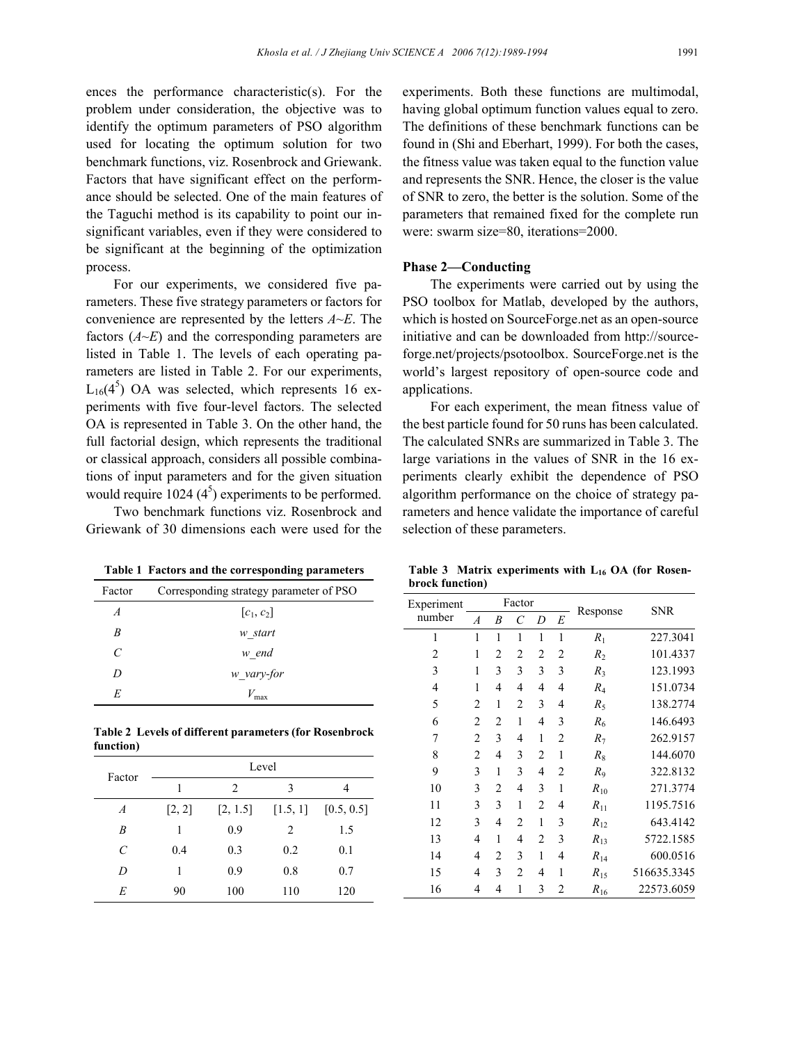$\overline{\phantom{0}}$ 

ences the performance characteristic(s). For the problem under consideration, the objective was to identify the optimum parameters of PSO algorithm used for locating the optimum solution for two benchmark functions, viz. Rosenbrock and Griewank. Factors that have significant effect on the performance should be selected. One of the main features of the Taguchi method is its capability to point our insignificant variables, even if they were considered to be significant at the beginning of the optimization process.

For our experiments, we considered five parameters. These five strategy parameters or factors for convenience are represented by the letters *A*~*E*. The factors (*A*~*E*) and the corresponding parameters are listed in Table 1. The levels of each operating parameters are listed in Table 2. For our experiments,  $L_{16}(4^5)$  OA was selected, which represents 16 experiments with five four-level factors. The selected OA is represented in Table 3. On the other hand, the full factorial design, which represents the traditional or classical approach, considers all possible combinations of input parameters and for the given situation would require  $1024 \, (4^5)$  experiments to be performed.

Two benchmark functions viz. Rosenbrock and Griewank of 30 dimensions each were used for the

**Table 1 Factors and the corresponding parameters** 

| Factor         | Corresponding strategy parameter of PSO |
|----------------|-----------------------------------------|
| $\overline{A}$ | $[c_1, c_2]$                            |
| R              | w start                                 |
| $\mathcal{C}$  | w end                                   |
| D              | w vary-for                              |
| E              | $V_{\text{max}}$                        |

**Table 2 Levels of different parameters (for Rosenbrock function)** 

| Factor           |        |          | Level                         |            |
|------------------|--------|----------|-------------------------------|------------|
|                  |        | 2        | 3                             | 4          |
| $\boldsymbol{A}$ | [2, 2] | [2, 1.5] | [1.5, 1]                      | [0.5, 0.5] |
| R                | 1      | 0.9      | $\mathfrak{D}_{\mathfrak{p}}$ | 1.5        |
| C                | 0.4    | 0.3      | 0.2                           | 0.1        |
| D                | 1      | 0.9      | 0.8                           | 0.7        |
| E                | 90     | 100      | 110                           | 120        |

experiments. Both these functions are multimodal, having global optimum function values equal to zero. The definitions of these benchmark functions can be found in (Shi and Eberhart, 1999). For both the cases, the fitness value was taken equal to the function value and represents the SNR. Hence, the closer is the value of SNR to zero, the better is the solution. Some of the parameters that remained fixed for the complete run were: swarm size=80, iterations=2000.

#### **Phase 2—Conducting**

The experiments were carried out by using the PSO toolbox for Matlab, developed by the authors, which is hosted on SourceForge.net as an open-source initiative and can be downloaded from http://sourceforge.net/projects/psotoolbox. SourceForge.net is the world's largest repository of open-source code and applications.

For each experiment, the mean fitness value of the best particle found for 50 runs has been calculated. The calculated SNRs are summarized in Table 3. The large variations in the values of SNR in the 16 experiments clearly exhibit the dependence of PSO algorithm performance on the choice of strategy parameters and hence validate the importance of careful selection of these parameters.

Table 3 Matrix experiments with L<sub>16</sub> OA (for Rosen**brock function)** 

| Experiment     |                  |                | Factor         |                |                | Response       | <b>SNR</b>  |
|----------------|------------------|----------------|----------------|----------------|----------------|----------------|-------------|
| number         | $\boldsymbol{A}$ | B              | C              | D              | E              |                |             |
| 1              | 1                | 1              | 1              | 1              | 1              | $R_1$          | 227.3041    |
| $\overline{2}$ | 1                | $\overline{2}$ | $\overline{2}$ | $\overline{2}$ | $\overline{2}$ | R <sub>2</sub> | 101.4337    |
| 3              | 1                | 3              | 3              | 3              | 3              | $R_3$          | 123.1993    |
| $\overline{4}$ | 1                | $\overline{4}$ | 4              | 4              | 4              | $R_4$          | 151.0734    |
| 5              | $\overline{2}$   | 1              | $\overline{2}$ | 3              | 4              | $R_5$          | 138.2774    |
| 6              | 2                | $\overline{2}$ | 1              | 4              | 3              | $R_6$          | 146.6493    |
| 7              | $\overline{2}$   | 3              | 4              | 1              | $\overline{2}$ | $R_7$          | 262.9157    |
| 8              | $\overline{2}$   | $\overline{4}$ | 3              | $\overline{c}$ | 1              | $R_8$          | 144.6070    |
| 9              | 3                | 1              | 3              | 4              | 2              | $R_{9}$        | 322.8132    |
| 10             | 3                | 2              | 4              | 3              | 1              | $R_{10}$       | 271.3774    |
| 11             | 3                | 3              | 1              | $\overline{c}$ | 4              | $R_{11}$       | 1195.7516   |
| 12             | 3                | $\overline{4}$ | $\overline{2}$ | 1              | 3              | $R_{12}$       | 643.4142    |
| 13             | 4                | 1              | 4              | $\overline{2}$ | 3              | $R_{13}$       | 5722.1585   |
| 14             | $\overline{4}$   | 2              | 3              | 1              | 4              | $R_{14}$       | 600.0516    |
| 15             | $\overline{4}$   | 3              | $\overline{2}$ | 4              | 1              | $R_{15}$       | 516635.3345 |
| 16             | 4                | 4              | 1              | 3              | $\overline{c}$ | $R_{16}$       | 22573.6059  |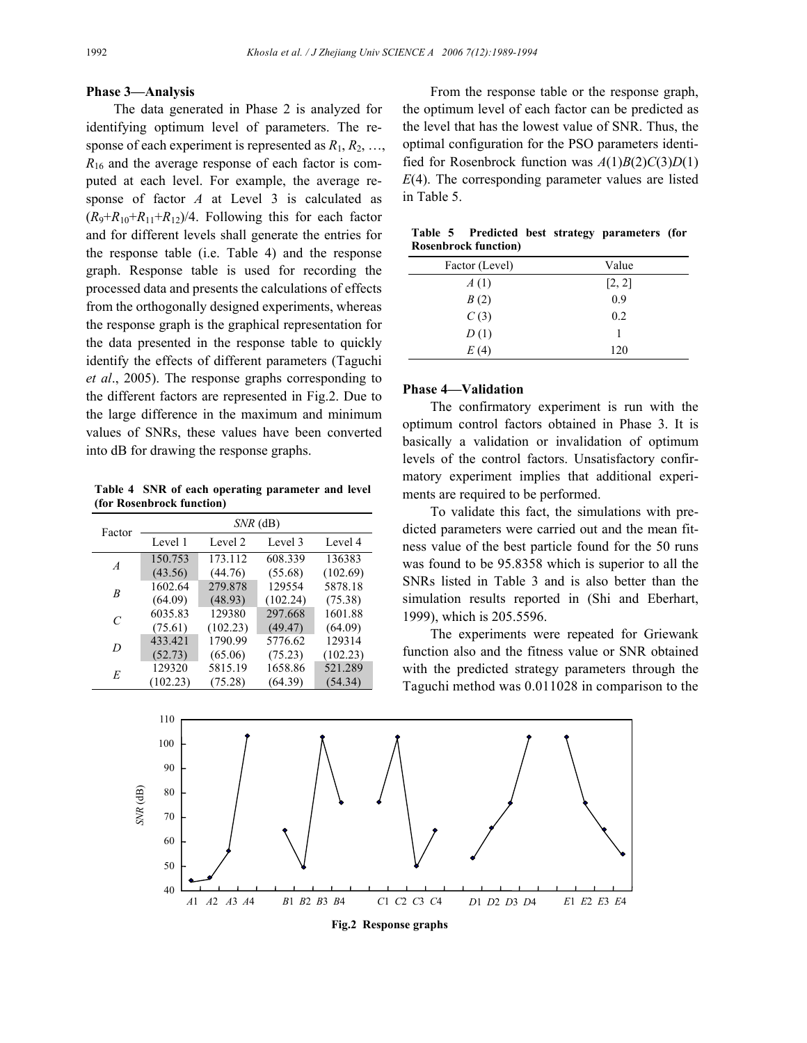#### **Phase 3—Analysis**

The data generated in Phase 2 is analyzed for identifying optimum level of parameters. The response of each experiment is represented as  $R_1, R_2, \ldots$ , *R*16 and the average response of each factor is computed at each level. For example, the average response of factor *A* at Level 3 is calculated as  $(R_9 + R_{10} + R_{11} + R_{12})/4$ . Following this for each factor and for different levels shall generate the entries for the response table (i.e. Table 4) and the response graph. Response table is used for recording the processed data and presents the calculations of effects from the orthogonally designed experiments, whereas the response graph is the graphical representation for the data presented in the response table to quickly identify the effects of different parameters (Taguchi *et al*., 2005). The response graphs corresponding to the different factors are represented in Fig.2. Due to the large difference in the maximum and minimum values of SNRs, these values have been converted into dB for drawing the response graphs.

**Table 4 SNR of each operating parameter and level (for Rosenbrock function)** 

| Factor         | $SNR$ (dB) |          |          |          |  |
|----------------|------------|----------|----------|----------|--|
|                | Level 1    | Level 2  | Level 3  | Level 4  |  |
| $\overline{A}$ | 150.753    | 173.112  | 608.339  | 136383   |  |
|                | (43.56)    | (44.76)  | (55.68)  | (102.69) |  |
| B              | 1602.64    | 279.878  | 129554   | 5878.18  |  |
|                | (64.09)    | (48.93)  | (102.24) | (75.38)  |  |
| $\mathcal{C}$  | 6035.83    | 129380   | 297.668  | 1601.88  |  |
|                | (75.61)    | (102.23) | (49.47)  | (64.09)  |  |
| D              | 433.421    | 1790.99  | 5776.62  | 129314   |  |
|                | (52.73)    | (65.06)  | (75.23)  | (102.23) |  |
| E              | 129320     | 5815.19  | 1658.86  | 521.289  |  |
|                | (102.23)   | (75.28)  | (64.39)  | (54.34)  |  |

From the response table or the response graph, the optimum level of each factor can be predicted as the level that has the lowest value of SNR. Thus, the optimal configuration for the PSO parameters identified for Rosenbrock function was  $A(1)B(2)C(3)D(1)$ *E*(4). The corresponding parameter values are listed in Table 5.

**Table 5 Predicted best strategy parameters (for Rosenbrock function)** 

| ------------------- |        |  |
|---------------------|--------|--|
| Factor (Level)      | Value  |  |
| A(1)                | [2, 2] |  |
| B(2)                | 0.9    |  |
| C(3)                | 0.2    |  |
| D(1)                |        |  |
| E(4)                | 120    |  |
|                     |        |  |

## **Phase 4—Validation**

The confirmatory experiment is run with the optimum control factors obtained in Phase 3. It is basically a validation or invalidation of optimum levels of the control factors. Unsatisfactory confirmatory experiment implies that additional experiments are required to be performed.

To validate this fact, the simulations with predicted parameters were carried out and the mean fitness value of the best particle found for the 50 runs was found to be 95.8358 which is superior to all the SNRs listed in Table 3 and is also better than the simulation results reported in (Shi and Eberhart, 1999), which is 205.5596.

The experiments were repeated for Griewank function also and the fitness value or SNR obtained with the predicted strategy parameters through the Taguchi method was 0.011028 in comparison to the



**Fig.2 Response graphs**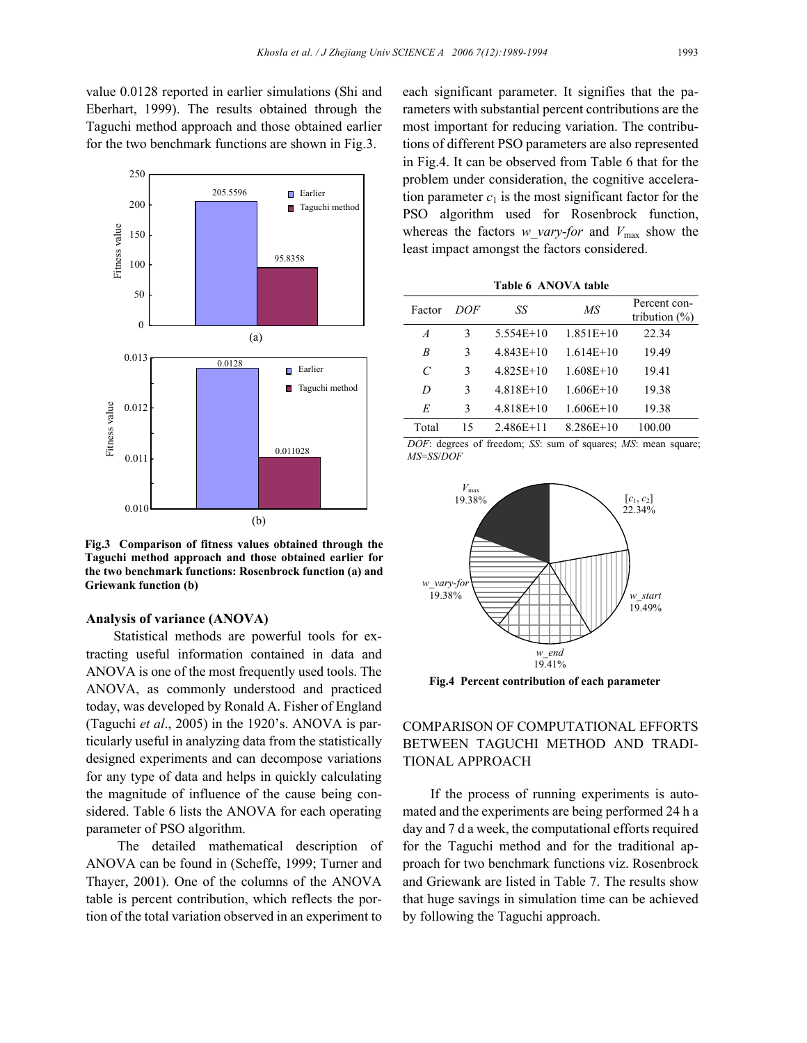value 0.0128 reported in earlier simulations (Shi and Eberhart, 1999). The results obtained through the Taguchi method approach and those obtained earlier for the two benchmark functions are shown in Fig.3.



**Fig.3 Comparison of fitness values obtained through the Taguchi method approach and those obtained earlier for the two benchmark functions: Rosenbrock function (a) and Griewank function (b)** 

### **Analysis of variance (ANOVA)**

Statistical methods are powerful tools for extracting useful information contained in data and ANOVA is one of the most frequently used tools. The ANOVA, as commonly understood and practiced today, was developed by Ronald A. Fisher of England (Taguchi *et al*., 2005) in the 1920's. ANOVA is particularly useful in analyzing data from the statistically designed experiments and can decompose variations for any type of data and helps in quickly calculating the magnitude of influence of the cause being considered. Table 6 lists the ANOVA for each operating parameter of PSO algorithm.

The detailed mathematical description of ANOVA can be found in (Scheffe, 1999; Turner and Thayer, 2001). One of the columns of the ANOVA table is percent contribution, which reflects the portion of the total variation observed in an experiment to

each significant parameter. It signifies that the parameters with substantial percent contributions are the most important for reducing variation. The contributions of different PSO parameters are also represented in Fig.4. It can be observed from Table 6 that for the problem under consideration, the cognitive acceleration parameter  $c_1$  is the most significant factor for the PSO algorithm used for Rosenbrock function, whereas the factors *w vary-for* and  $V_{\text{max}}$  show the least impact amongst the factors considered.

**Table 6 ANOVA table** 

| Factor         | DOF | SS          | МS          | Percent con-<br>tribution $(\% )$ |
|----------------|-----|-------------|-------------|-----------------------------------|
| $\overline{A}$ | 3   | $5.554E+10$ | 1.851E+10   | 22.34                             |
| B              | 3   | 4.843E+10   | 1.614E+10   | 19.49                             |
| C              | 3   | $4.825E+10$ | $1.608E+10$ | 19.41                             |
| D              | 3   | $4.818E+10$ | $1.606E+10$ | 19.38                             |
| E              | 3   | $4.818E+10$ | $1.606E+10$ | 19.38                             |
| Total          | 15  | $2.486E+11$ | $8.286E+10$ | 100.00                            |

*DOF*: degrees of freedom; *SS*: sum of squares; *MS*: mean square; *MS*=*SS*/*DOF*



**Fig.4 Percent contribution of each parameter** 

# COMPARISON OF COMPUTATIONAL EFFORTS BETWEEN TAGUCHI METHOD AND TRADI-TIONAL APPROACH

If the process of running experiments is automated and the experiments are being performed 24 h a day and 7 d a week, the computational efforts required for the Taguchi method and for the traditional approach for two benchmark functions viz. Rosenbrock and Griewank are listed in Table 7. The results show that huge savings in simulation time can be achieved by following the Taguchi approach.